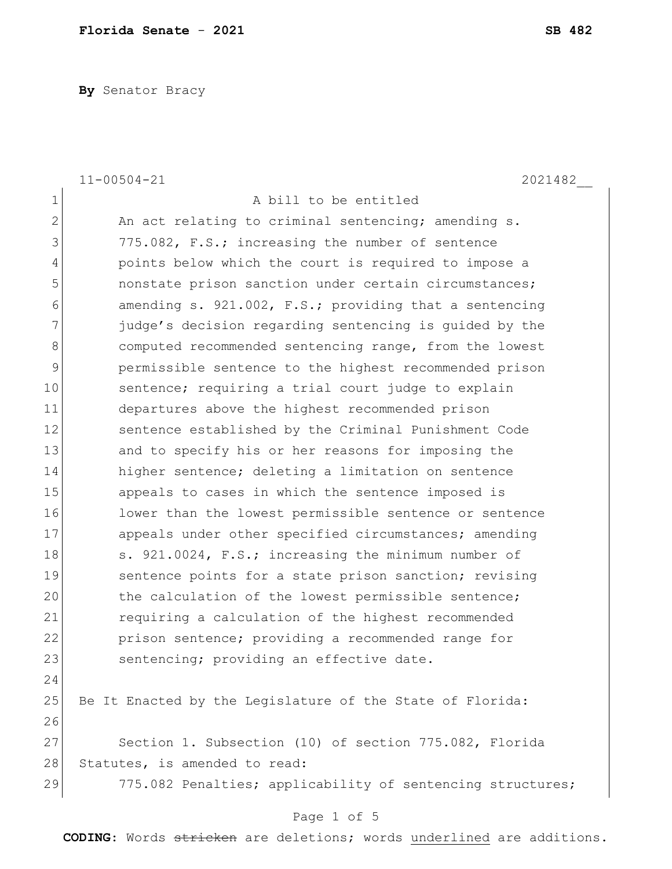**By** Senator Bracy

|                | $11 - 00504 - 21$<br>2021482                                |
|----------------|-------------------------------------------------------------|
| 1              | A bill to be entitled                                       |
| $\overline{2}$ | An act relating to criminal sentencing; amending s.         |
| 3              | 775.082, F.S.; increasing the number of sentence            |
| 4              | points below which the court is required to impose a        |
| 5              | nonstate prison sanction under certain circumstances;       |
| 6              | amending $s. 921.002$ , $F.S.;$ providing that a sentencing |
| 7              | judge's decision regarding sentencing is guided by the      |
| 8              | computed recommended sentencing range, from the lowest      |
| 9              | permissible sentence to the highest recommended prison      |
| 10             | sentence; requiring a trial court judge to explain          |
| 11             | departures above the highest recommended prison             |
| 12             | sentence established by the Criminal Punishment Code        |
| 13             | and to specify his or her reasons for imposing the          |
| 14             | higher sentence; deleting a limitation on sentence          |
| 15             | appeals to cases in which the sentence imposed is           |
| 16             | lower than the lowest permissible sentence or sentence      |
| 17             | appeals under other specified circumstances; amending       |
| 18             | s. 921.0024, F.S.; increasing the minimum number of         |
| 19             | sentence points for a state prison sanction; revising       |
| 20             | the calculation of the lowest permissible sentence;         |
| 21             | requiring a calculation of the highest recommended          |
| 22             | prison sentence; providing a recommended range for          |
| 23             | sentencing; providing an effective date.                    |
| 24             |                                                             |
| 25             | Be It Enacted by the Legislature of the State of Florida:   |
| 26             |                                                             |
| 27             | Section 1. Subsection (10) of section 775.082, Florida      |
| 28             | Statutes, is amended to read:                               |
| 29             | 775.082 Penalties; applicability of sentencing structures;  |
|                | Page 1 of 5                                                 |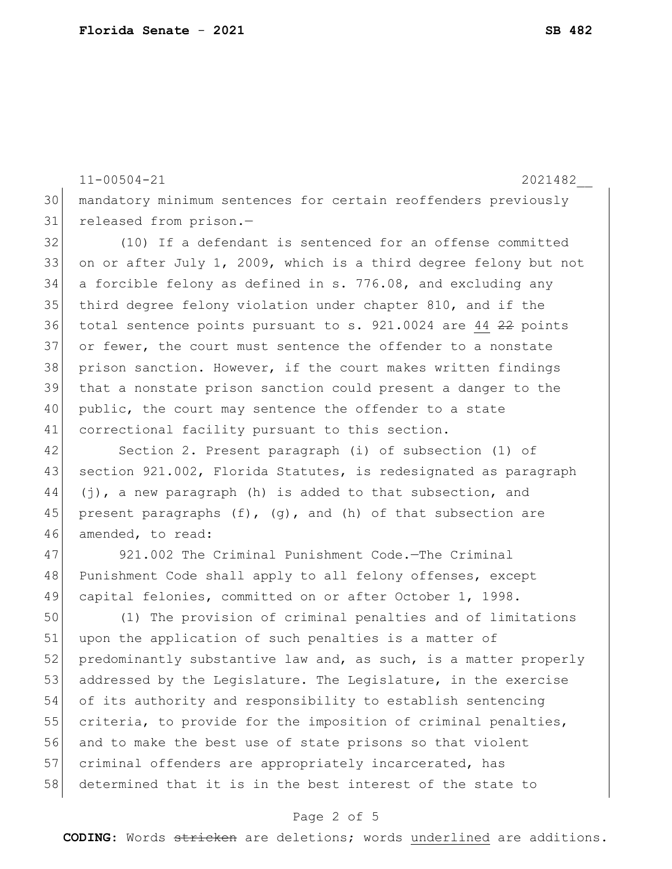11-00504-21 2021482 mandatory minimum sentences for certain reoffenders previously released from prison.— (10) If a defendant is sentenced for an offense committed 33 on or after July 1, 2009, which is a third degree felony but not a forcible felony as defined in s. 776.08, and excluding any third degree felony violation under chapter 810, and if the total sentence points pursuant to s. 921.0024 are 44 22 points 37 or fewer, the court must sentence the offender to a nonstate prison sanction. However, if the court makes written findings that a nonstate prison sanction could present a danger to the 40 public, the court may sentence the offender to a state 41 correctional facility pursuant to this section.

42 Section 2. Present paragraph (i) of subsection (1) of 43 section 921.002, Florida Statutes, is redesignated as paragraph 44 (j), a new paragraph (h) is added to that subsection, and 45 present paragraphs  $(f)$ ,  $(g)$ , and  $(h)$  of that subsection are 46 amended, to read:

47 921.002 The Criminal Punishment Code.—The Criminal 48 Punishment Code shall apply to all felony offenses, except 49 capital felonies, committed on or after October 1, 1998.

50 (1) The provision of criminal penalties and of limitations 51 upon the application of such penalties is a matter of 52 predominantly substantive law and, as such, is a matter properly 53 addressed by the Legislature. The Legislature, in the exercise 54 of its authority and responsibility to establish sentencing 55 criteria, to provide for the imposition of criminal penalties, 56 and to make the best use of state prisons so that violent 57 criminal offenders are appropriately incarcerated, has 58 determined that it is in the best interest of the state to

## Page 2 of 5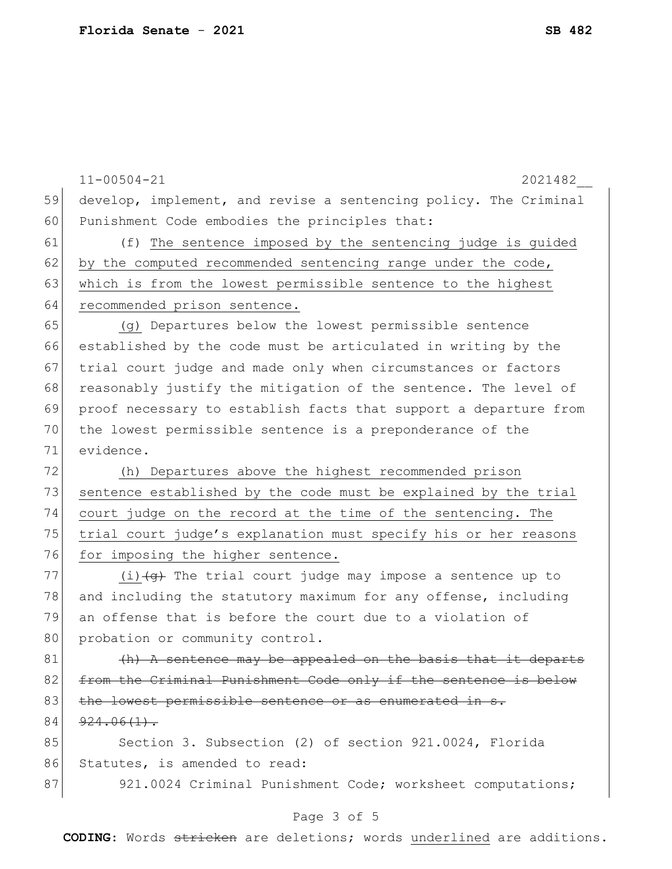11-00504-21 2021482\_\_ 59 develop, implement, and revise a sentencing policy. The Criminal 60 Punishment Code embodies the principles that: 61 (f) The sentence imposed by the sentencing judge is guided 62 by the computed recommended sentencing range under the code, 63 which is from the lowest permissible sentence to the highest 64 recommended prison sentence. 65 (g) Departures below the lowest permissible sentence 66 established by the code must be articulated in writing by the 67 trial court judge and made only when circumstances or factors 68 reasonably justify the mitigation of the sentence. The level of 69 proof necessary to establish facts that support a departure from 70 the lowest permissible sentence is a preponderance of the 71 evidence. 72 (h) Departures above the highest recommended prison 73 sentence established by the code must be explained by the trial 74 court judge on the record at the time of the sentencing. The 75 | trial court judge's explanation must specify his or her reasons 76 for imposing the higher sentence. 77 (i) $\left(4\right)$  The trial court judge may impose a sentence up to 78 and including the statutory maximum for any offense, including 79 an offense that is before the court due to a violation of 80 probation or community control.  $81$  (h) A sentence may be appealed on the basis that it departs 82 from the Criminal Punishment Code only if the sentence is below 83 the lowest permissible sentence or as enumerated in s.  $84 \mid 924.06(1)$ . 85 Section 3. Subsection (2) of section 921.0024, Florida 86 Statutes, is amended to read: 87 921.0024 Criminal Punishment Code; worksheet computations;

## Page 3 of 5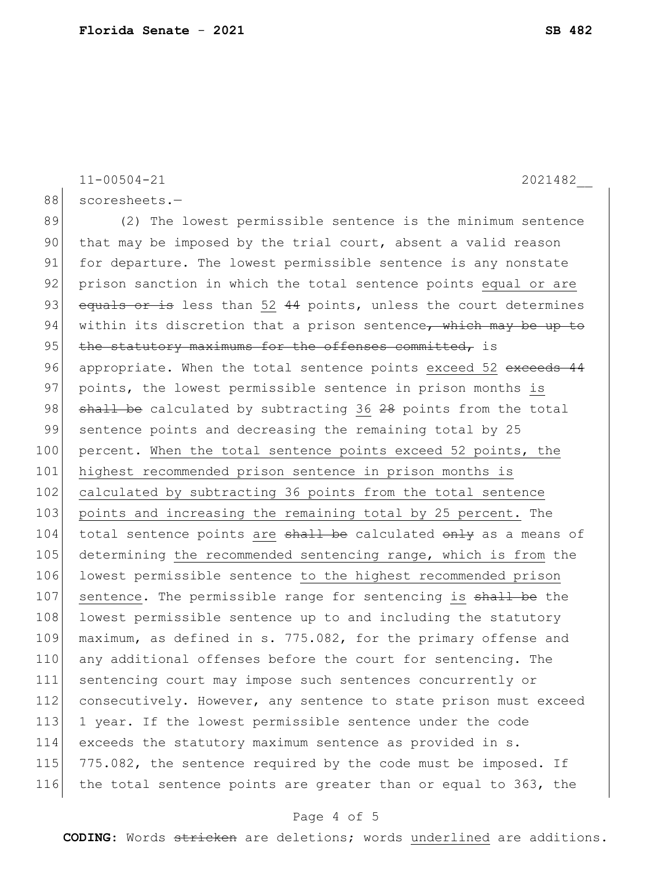11-00504-21 2021482\_\_ 88 scoresheets.-89 (2) The lowest permissible sentence is the minimum sentence 90 that may be imposed by the trial court, absent a valid reason 91 for departure. The lowest permissible sentence is any nonstate 92 prison sanction in which the total sentence points equal or are 93 equals or is less than 52 44 points, unless the court determines 94 within its discretion that a prison sentence, which may be up to 95 | the statutory maximums for the offenses committed, is 96 appropriate. When the total sentence points exceed 52 exceeds 44 97 points, the lowest permissible sentence in prison months is 98 shall be calculated by subtracting 36 28 points from the total 99 sentence points and decreasing the remaining total by 25 100 percent. When the total sentence points exceed 52 points, the 101 highest recommended prison sentence in prison months is 102 calculated by subtracting 36 points from the total sentence 103 points and increasing the remaining total by 25 percent. The 104 total sentence points are shall be calculated only as a means of 105 determining the recommended sentencing range, which is from the 106 lowest permissible sentence to the highest recommended prison 107 sentence. The permissible range for sentencing is shall be the 108 lowest permissible sentence up to and including the statutory 109 maximum, as defined in s. 775.082, for the primary offense and 110 any additional offenses before the court for sentencing. The 111 sentencing court may impose such sentences concurrently or 112 consecutively. However, any sentence to state prison must exceed 113 1 year. If the lowest permissible sentence under the code 114 exceeds the statutory maximum sentence as provided in s. 115 775.082, the sentence required by the code must be imposed. If 116 the total sentence points are greater than or equal to 363, the

## Page 4 of 5